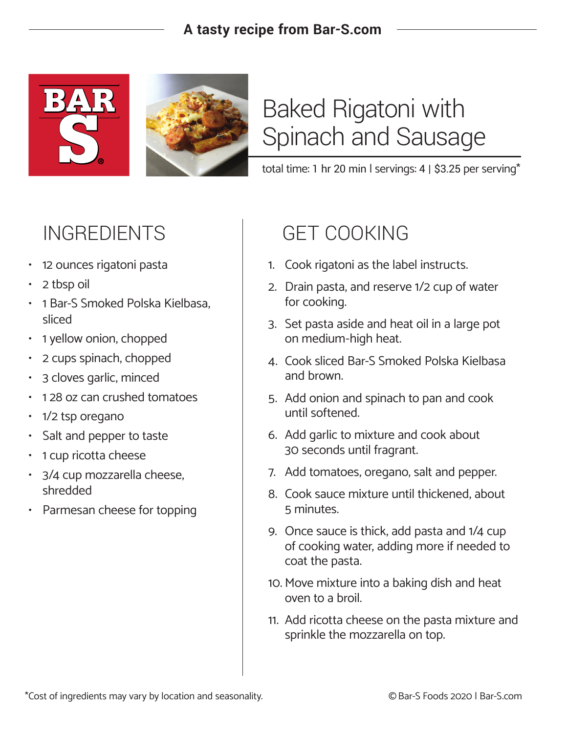### **A tasty recipe from Bar-S.com**



# Baked Rigatoni with Spinach and Sausage

total time: 1 hr 20 min | servings: 4 | \$3.25 per serving\*

- 12 ounces rigatoni pasta
- 2 tbsp oil
- 1 Bar-S Smoked Polska Kielbasa, sliced
- 1 yellow onion, chopped
- 2 cups spinach, chopped
- 3 cloves garlic, minced
- 1 28 oz can crushed tomatoes
- 1/2 tsp oregano
- Salt and pepper to taste
- 1 cup ricotta cheese
- 3/4 cup mozzarella cheese, shredded
- Parmesan cheese for topping

## INGREDIENTS GET COOKING

- 1. Cook rigatoni as the label instructs.
- 2. Drain pasta, and reserve 1/2 cup of water for cooking.
- 3. Set pasta aside and heat oil in a large pot on medium-high heat.
- 4. Cook sliced Bar-S Smoked Polska Kielbasa and brown.
- 5. Add onion and spinach to pan and cook until softened.
- 6. Add garlic to mixture and cook about 30 seconds until fragrant.
- 7. Add tomatoes, oregano, salt and pepper.
- 8. Cook sauce mixture until thickened, about 5 minutes.
- 9. Once sauce is thick, add pasta and 1/4 cup of cooking water, adding more if needed to coat the pasta.
- 10. Move mixture into a baking dish and heat oven to a broil.
- 11. Add ricotta cheese on the pasta mixture and sprinkle the mozzarella on top.